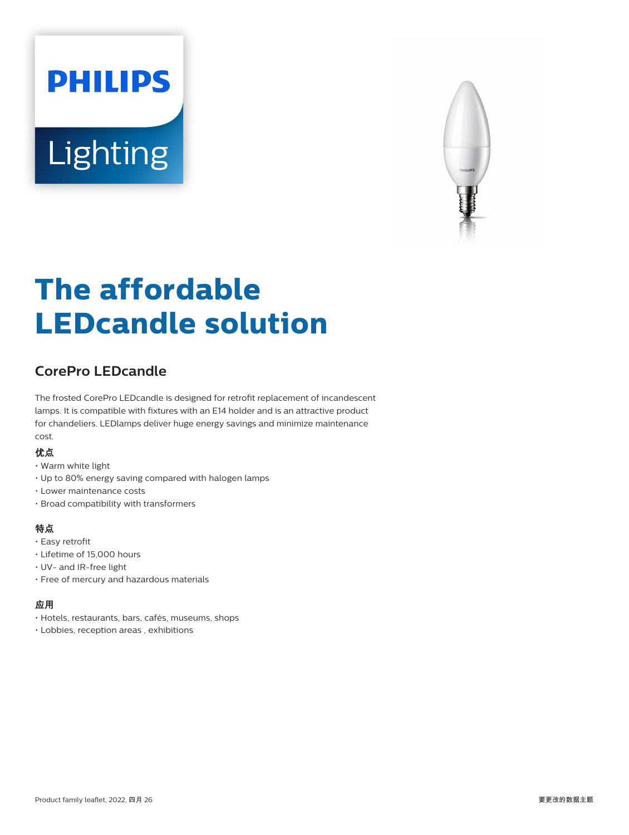# **PHILIPS** Lighting



# **The affordable LEDcandle solution**

# **CorePro LEDcandle**

The frosted CorePro LEDcandle is designed for retrofit replacement of incandescent lamps. It is compatible with fixtures with an E14 holder and is an attractive product for chandeliers. LEDlamps deliver huge energy savings and minimize maintenance cost.

#### 优点

- Warm white light
- Up to 80% energy saving compared with halogen lamps
- Lower maintenance costs
- Broad compatibility with transformers

#### 特点

- Easy retrofit
- Lifetime of 15,000 hours
- UV- and IR-free light
- Free of mercury and hazardous materials

#### 应用

- Hotels, restaurants, bars, cafés, museums, shops
- Lobbies, reception areas , exhibitions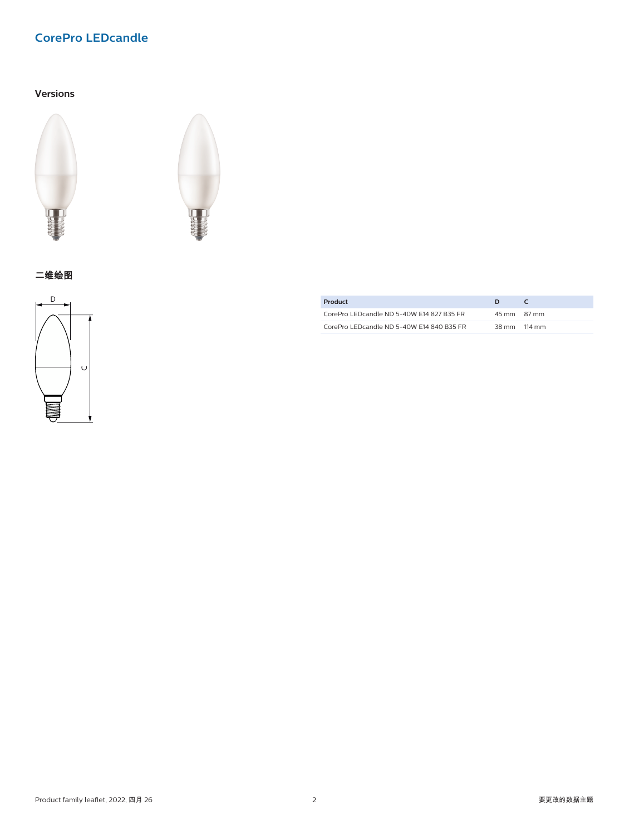## **CorePro LEDcandle**

#### **Versions**





二维绘图



| Product                                   | D            |  |
|-------------------------------------------|--------------|--|
| CorePro LEDcandle ND 5-40W E14 827 B35 FR | 45 mm 87 mm  |  |
| CorePro LEDcandle ND 5-40W E14 840 B35 FR | 38 mm 114 mm |  |